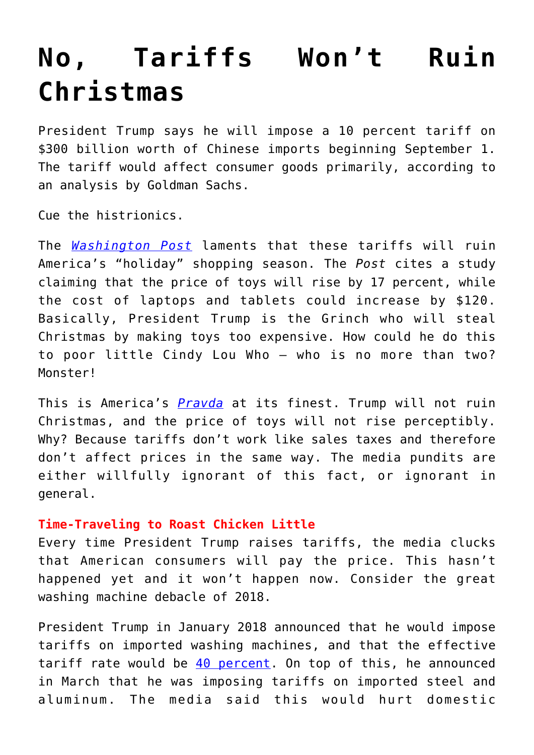## **[No, Tariffs Won't Ruin](https://intellectualtakeout.org/2019/08/no-tariffs-wont-ruin-christmas/) [Christmas](https://intellectualtakeout.org/2019/08/no-tariffs-wont-ruin-christmas/)**

President Trump says he will impose a 10 percent tariff on \$300 billion worth of Chinese imports beginning September 1. The tariff would affect consumer goods primarily, according to an analysis by Goldman Sachs.

Cue the histrionics.

The *[Washington Post](https://www.washingtonpost.com/business/2019/08/02/trumps-latest-tariffs-come-worst-possible-time-shoppers-holiday-season/?fbclid=IwAR3rWAZHb97i7SvVXh7_69Q_Ox84AG1uSeJajyR6U0VuRhBHgHIcH_pvH-M&utm_term=.6b06cb2f2743)* laments that these tariffs will ruin America's "holiday" shopping season. The *Post* cites a study claiming that the price of toys will rise by 17 percent, while the cost of laptops and tablets could increase by \$120. Basically, President Trump is the Grinch who will steal Christmas by making toys too expensive. How could he do this to poor little Cindy Lou Who – who is no more than two? Monster!

This is America's *[Pravda](https://en.wikipedia.org/wiki/Pravda)* at its finest. Trump will not ruin Christmas, and the price of toys will not rise perceptibly. Why? Because tariffs don't work like sales taxes and therefore don't affect prices in the same way. The media pundits are either willfully ignorant of this fact, or ignorant in general.

## **Time-Traveling to Roast Chicken Little**

Every time President Trump raises tariffs, the media clucks that American consumers will pay the price. This hasn't happened yet and it won't happen now. Consider the great washing machine debacle of 2018.

President Trump in January 2018 announced that he would impose tariffs on imported washing machines, and that the effective tariff rate would be [40 percent.](https://www.cnbc.com/2018/01/23/goldman-new-washer-could-be-as-much-as-20-percent-pricier-because-of-trump-tariff.html) On top of this, he announced in March that he was imposing tariffs on imported steel and aluminum. The media said this would hurt domestic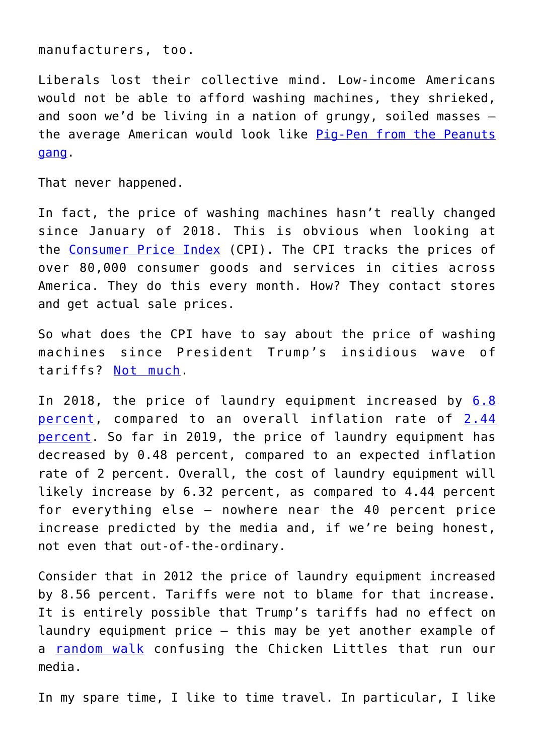manufacturers, too.

Liberals lost their collective mind. Low-income Americans would not be able to afford washing machines, they shrieked, and soon we'd be living in a nation of grungy, soiled masses – the average American would look like [Pig-Pen from the Peanuts](https://en.wikipedia.org/wiki/Pig-Pen) [gang](https://en.wikipedia.org/wiki/Pig-Pen).

That never happened.

In fact, the price of washing machines hasn't really changed since January of 2018. This is obvious when looking at the [Consumer Price Index](https://data.bls.gov/timeseries/CUSR0000SS30021?output_view=pct_3mths) (CPI). The CPI tracks the prices of over 80,000 consumer goods and services in cities across America. They do this every month. How? They contact stores and get actual sale prices.

So what does the CPI have to say about the price of washing machines since President Trump's insidious wave of tariffs? [Not much.](https://www.amgreatness.com/2019/07/29/the-democratic-washing-machine/)

In 2018, the price of laundry equipment increased by [6.8](http://www.in2013dollars.com/Laundry-equipment/price-inflation/1990-to-2019?amount=500) [percent](http://www.in2013dollars.com/Laundry-equipment/price-inflation/1990-to-2019?amount=500), compared to an overall inflation rate of [2.44](http://www.in2013dollars.com/inflation-rate-in-2018) [percent](http://www.in2013dollars.com/inflation-rate-in-2018). So far in 2019, the price of laundry equipment has decreased by 0.48 percent, compared to an expected inflation rate of 2 percent. Overall, the cost of laundry equipment will likely increase by 6.32 percent, as compared to 4.44 percent for everything else – nowhere near the 40 percent price increase predicted by the media and, if we're being honest, not even that out-of-the-ordinary.

Consider that in 2012 the price of laundry equipment increased by 8.56 percent. Tariffs were not to blame for that increase. It is entirely possible that Trump's tariffs had no effect on laundry equipment price – this may be yet another example of a [random walk](https://en.wikipedia.org/wiki/Random_walk_hypothesis) confusing the Chicken Littles that run our media.

In my spare time, I like to time travel. In particular, I like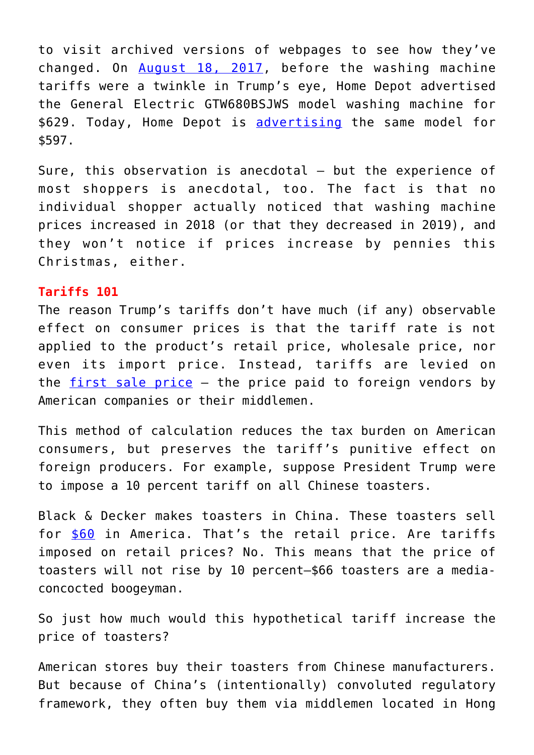to visit archived versions of webpages to see how they've changed. On [August 18, 2017,](https://web.archive.org/web/20170818085916/https:/www.consumersearch.com/washing-machine-reviews) before the washing machine tariffs were a twinkle in Trump's eye, Home Depot advertised the General Electric GTW680BSJWS model washing machine for \$629. Today, Home Depot is [advertising](https://www.consumersearch.com/washing-machine-reviews) the same model for \$597.

Sure, this observation is anecdotal – but the experience of most shoppers is anecdotal, too. The fact is that no individual shopper actually noticed that washing machine prices increased in 2018 (or that they decreased in 2019), and they won't notice if prices increase by pennies this Christmas, either.

## **Tariffs 101**

The reason Trump's tariffs don't have much (if any) observable effect on consumer prices is that the tariff rate is not applied to the product's retail price, wholesale price, nor even its import price. Instead, tariffs are levied on the [first sale price](https://www.tradewin.net/services/duty-mitigation/what-is-first-sale.asp) – the price paid to foreign vendors by American companies or their middlemen.

This method of calculation reduces the tax burden on American consumers, but preserves the tariff's punitive effect on foreign producers. For example, suppose President Trump were to impose a 10 percent tariff on all Chinese toasters.

Black & Decker makes toasters in China. These toasters sell for [\\$60](http://www.blackanddeckerappliances.com/products/cooking-appliances/toasters/4-slice-toaster-t4030.aspx) in America. That's the retail price. Are tariffs imposed on retail prices? No. This means that the price of toasters will not rise by 10 percent—\$66 toasters are a mediaconcocted boogeyman.

So just how much would this hypothetical tariff increase the price of toasters?

American stores buy their toasters from Chinese manufacturers. But because of China's (intentionally) convoluted regulatory framework, they often buy them via middlemen located in Hong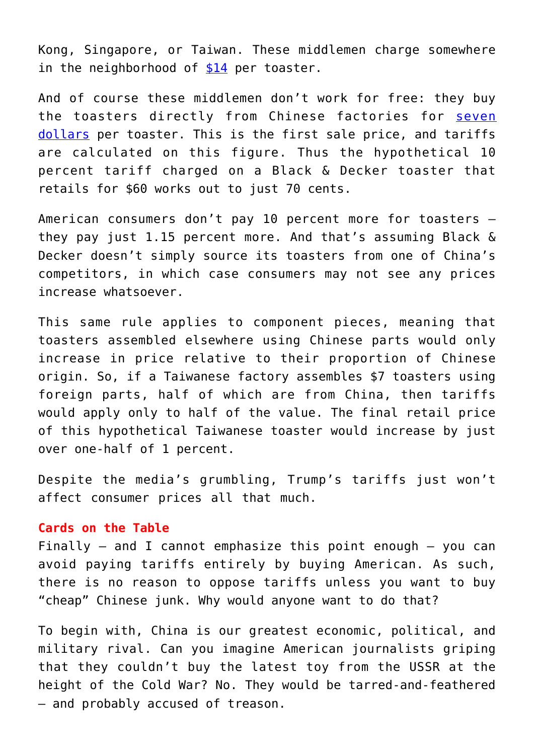Kong, Singapore, or Taiwan. These middlemen charge somewhere in the neighborhood of  $$14$  per toaster.

And of course these middlemen don't work for free: they buy the toasters directly from Chinese factories for [seven](http://www.globalsources.com/si/AS/Ningbo-East/6008849756690/pdtl/Black-Decker-Stainless-Steel-Toaster/1116113603.htm) [dollars](http://www.globalsources.com/si/AS/Ningbo-East/6008849756690/pdtl/Black-Decker-Stainless-Steel-Toaster/1116113603.htm) per toaster. This is the first sale price, and tariffs are calculated on this figure. Thus the hypothetical 10 percent tariff charged on a Black & Decker toaster that retails for \$60 works out to just 70 cents.

American consumers don't pay 10 percent more for toasters – they pay just 1.15 percent more. And that's assuming Black & Decker doesn't simply source its toasters from one of China's competitors, in which case consumers may not see any prices increase whatsoever.

This same rule applies to component pieces, meaning that toasters assembled elsewhere using Chinese parts would only increase in price relative to their proportion of Chinese origin. So, if a Taiwanese factory assembles \$7 toasters using foreign parts, half of which are from China, then tariffs would apply only to half of the value. The final retail price of this hypothetical Taiwanese toaster would increase by just over one-half of 1 percent.

Despite the media's grumbling, Trump's tariffs just won't affect consumer prices all that much.

## **Cards on the Table**

Finally  $-$  and I cannot emphasize this point enough  $-$  you can avoid paying tariffs entirely by buying American. As such, there is no reason to oppose tariffs unless you want to buy "cheap" Chinese junk. Why would anyone want to do that?

To begin with, China is our greatest economic, political, and military rival. Can you imagine American journalists griping that they couldn't buy the latest toy from the USSR at the height of the Cold War? No. They would be tarred-and-feathered – and probably accused of treason.